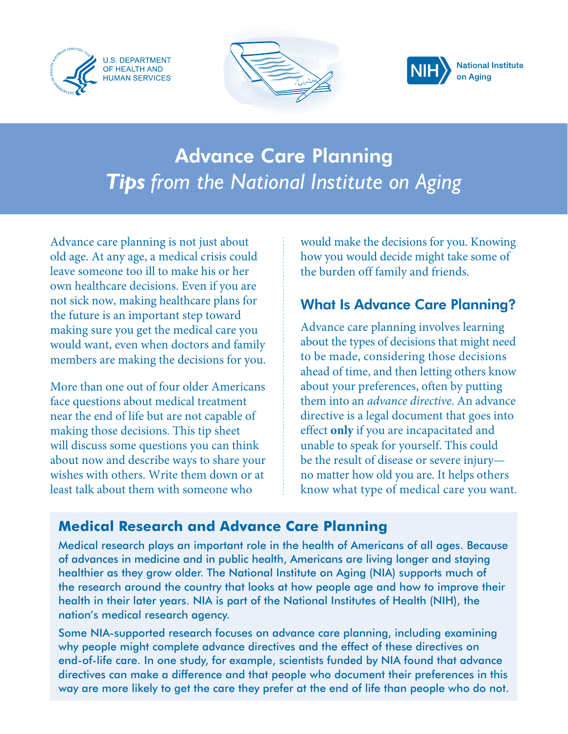





# Advance Care Planning *Tips from the National Institute on Aging*

Advance care planning is not just about old age. At any age, a medical crisis could leave someone too ill to make his or her own healthcare decisions. Even if you are not sick now, making healthcare plans for the future is an important step toward making sure you get the medical care you would want, even when doctors and family members are making the decisions for you.

More than one out of four older Americans face questions about medical treatment near the end of life but are not capable of making those decisions. This tip sheet will discuss some questions you can think about now and describe ways to share your wishes with others. Write them down or at least talk about them with someone who

would make the decisions for you. Knowing how you would decide might take some of the burden off family and friends.

# What Is Advance Care Planning?

Advance care planning involves learning about the types of decisions that might need to be made, considering those decisions ahead of time, and then letting others know about your preferences, often by putting them into an *advance directive*. An advance directive is a legal document that goes into effect **only** if you are incapacitated and unable to speak for yourself. This could be the result of disease or severe injury no matter how old you are. It helps others know what type of medical care you want.

### **Medical Research and Advance Care Planning**

Medical research plays an important role in the health of Americans of all ages. Because of advances in medicine and in public health, Americans are living longer and staying healthier as they grow older. The National Institute on Aging (NIA) supports much of the research around the country that looks at how people age and how to improve their health in their later years. NIA is part of the National Institutes of Health (NIH), the nation's medical research agency.

Some NIA-supported research focuses on advance care planning, including examining why people might complete advance directives and the effect of these directives on end-of-life care. In one study, for example, scientists funded by NIA found that advance directives can make a difference and that people who document their preferences in this way are more likely to get the care they prefer at the end of life than people who do not.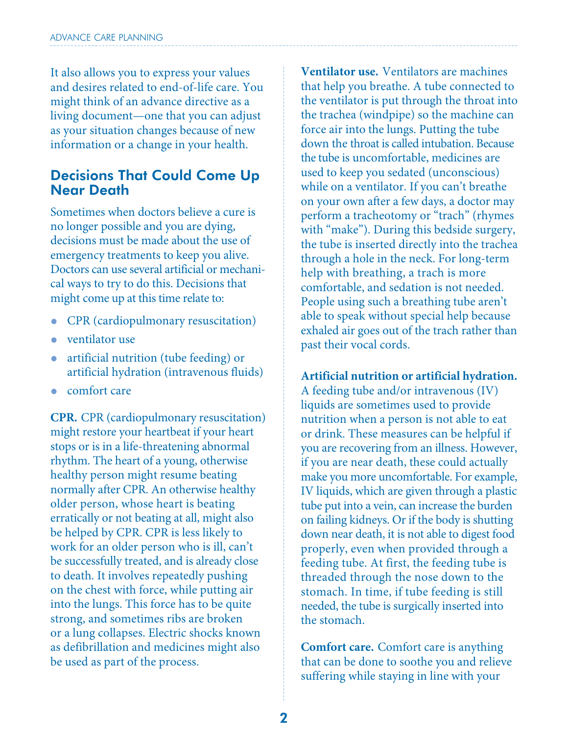It also allows you to express your values and desires related to end-of-life care. You might think of an advance directive as a living document—one that you can adjust as your situation changes because of new information or a change in your health.

### Decisions That Could Come Up Near Death

Sometimes when doctors believe a cure is no longer possible and you are dying, decisions must be made about the use of emergency treatments to keep you alive. Doctors can use several artificial or mechanical ways to try to do this. Decisions that might come up at this time relate to:

- CPR (cardiopulmonary resuscitation)
- ventilator use
- artificial nutrition (tube feeding) or artificial hydration (intravenous fluids)
- comfort care

**CPR.** CPR (cardiopulmonary resuscitation) might restore your heartbeat if your heart stops or is in a life-threatening abnormal rhythm. The heart of a young, otherwise healthy person might resume beating normally after CPR. An otherwise healthy older person, whose heart is beating erratically or not beating at all, might also be helped by CPR. CPR is less likely to work for an older person who is ill, can't be successfully treated, and is already close to death. It involves repeatedly pushing on the chest with force, while putting air into the lungs. This force has to be quite strong, and sometimes ribs are broken or a lung collapses. Electric shocks known as defibrillation and medicines might also be used as part of the process.

**Ventilator use.** Ventilators are machines that help you breathe. A tube connected to the ventilator is put through the throat into the trachea (windpipe) so the machine can force air into the lungs. Putting the tube down the throat is called intubation. Because the tube is uncomfortable, medicines are used to keep you sedated (unconscious) while on a ventilator. If you can't breathe on your own after a few days, a doctor may perform a tracheotomy or "trach" (rhymes with "make"). During this bedside surgery, the tube is inserted directly into the trachea through a hole in the neck. For long-term help with breathing, a trach is more comfortable, and sedation is not needed. People using such a breathing tube aren't able to speak without special help because exhaled air goes out of the trach rather than past their vocal cords.

#### **Artificial nutrition or artificial hydration.**

A feeding tube and/or intravenous (IV) liquids are sometimes used to provide nutrition when a person is not able to eat or drink. These measures can be helpful if you are recovering from an illness. However, if you are near death, these could actually make you more uncomfortable. For example, IV liquids, which are given through a plastic tube put into a vein, can increase the burden on failing kidneys. Or if the body is shutting down near death, it is not able to digest food properly, even when provided through a feeding tube. At first, the feeding tube is threaded through the nose down to the stomach. In time, if tube feeding is still needed, the tube is surgically inserted into the stomach.

**Comfort care.** Comfort care is anything that can be done to soothe you and relieve suffering while staying in line with your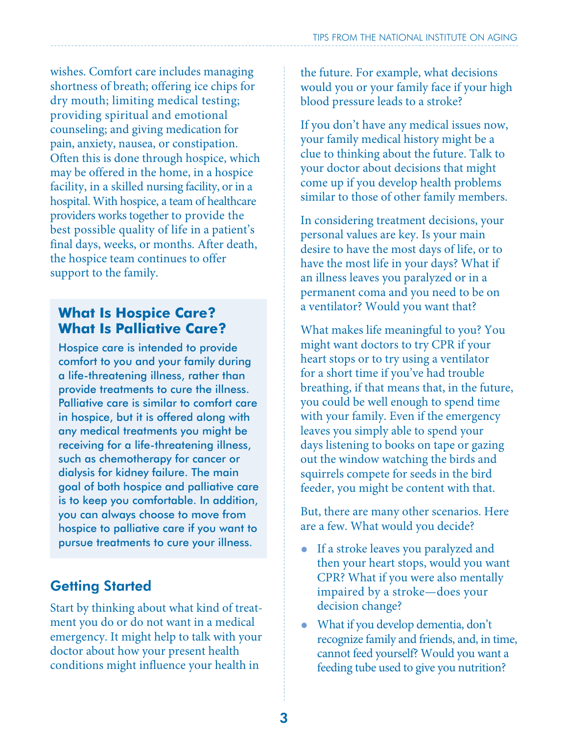wishes. Comfort care includes managing shortness of breath; offering ice chips for dry mouth; limiting medical testing; providing spiritual and emotional counseling; and giving medication for pain, anxiety, nausea, or constipation. Often this is done through hospice, which may be offered in the home, in a hospice facility, in a skilled nursing facility, or in a hospital. With hospice, a team of healthcare providers works together to provide the best possible quality of life in a patient's final days, weeks, or months. After death, the hospice team continues to offer support to the family.

### **What Is Hospice Care? What Is Palliative Care?**

Hospice care is intended to provide comfort to you and your family during a life-threatening illness, rather than provide treatments to cure the illness. Palliative care is similar to comfort care in hospice, but it is offered along with any medical treatments you might be receiving for a life-threatening illness, such as chemotherapy for cancer or dialysis for kidney failure. The main goal of both hospice and palliative care is to keep you comfortable. In addition, you can always choose to move from hospice to palliative care if you want to pursue treatments to cure your illness.

# Getting Started

Start by thinking about what kind of treatment you do or do not want in a medical emergency. It might help to talk with your doctor about how your present health conditions might influence your health in

the future. For example, what decisions would you or your family face if your high blood pressure leads to a stroke?

If you don't have any medical issues now, your family medical history might be a clue to thinking about the future. Talk to your doctor about decisions that might come up if you develop health problems similar to those of other family members.

In considering treatment decisions, your personal values are key. Is your main desire to have the most days of life, or to have the most life in your days? What if an illness leaves you paralyzed or in a permanent coma and you need to be on a ventilator? Would you want that?

What makes life meaningful to you? You might want doctors to try CPR if your heart stops or to try using a ventilator for a short time if you've had trouble breathing, if that means that, in the future, you could be well enough to spend time with your family. Even if the emergency leaves you simply able to spend your days listening to books on tape or gazing out the window watching the birds and squirrels compete for seeds in the bird feeder, you might be content with that.

But, there are many other scenarios. Here are a few. What would you decide?

- If a stroke leaves you paralyzed and then your heart stops, would you want CPR? What if you were also mentally impaired by a stroke—does your decision change?
- What if you develop dementia, don't recognize family and friends, and, in time, cannot feed yourself? Would you want a feeding tube used to give you nutrition?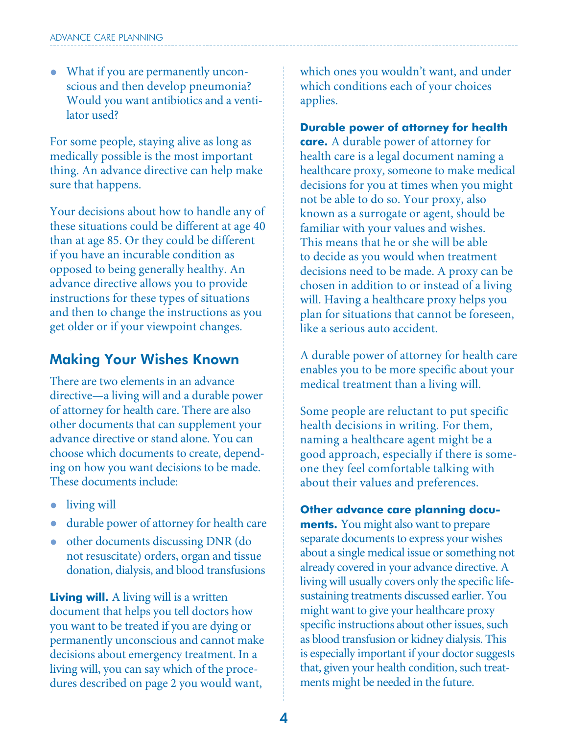• What if you are permanently unconscious and then develop pneumonia? Would you want antibiotics and a ventilator used?

For some people, staying alive as long as medically possible is the most important thing. An advance directive can help make sure that happens.

Your decisions about how to handle any of these situations could be different at age 40 than at age 85. Or they could be different if you have an incurable condition as opposed to being generally healthy. An advance directive allows you to provide instructions for these types of situations and then to change the instructions as you get older or if your viewpoint changes.

# Making Your Wishes Known

There are two elements in an advance directive—a living will and a durable power of attorney for health care. There are also other documents that can supplement your advance directive or stand alone. You can choose which documents to create, depending on how you want decisions to be made. These documents include:

- living will
- durable power of attorney for health care
- other documents discussing DNR (do not resuscitate) orders, organ and tissue donation, dialysis, and blood transfusions

**Living will.** A living will is a written document that helps you tell doctors how you want to be treated if you are dying or permanently unconscious and cannot make decisions about emergency treatment. In a living will, you can say which of the procedures described on page 2 you would want,

which ones you wouldn't want, and under which conditions each of your choices applies.

**Durable power of attorney for health care.** A durable power of attorney for health care is a legal document naming a healthcare proxy, someone to make medical decisions for you at times when you might not be able to do so. Your proxy, also known as a surrogate or agent, should be familiar with your values and wishes. This means that he or she will be able to decide as you would when treatment decisions need to be made. A proxy can be chosen in addition to or instead of a living will. Having a healthcare proxy helps you plan for situations that cannot be foreseen, like a serious auto accident.

A durable power of attorney for health care enables you to be more specific about your medical treatment than a living will.

Some people are reluctant to put specific health decisions in writing. For them, naming a healthcare agent might be a good approach, especially if there is someone they feel comfortable talking with about their values and preferences.

**Other advance care planning documents.** You might also want to prepare separate documents to express your wishes about a single medical issue or something not already covered in your advance directive. A living will usually covers only the specific lifesustaining treatments discussed earlier. You might want to give your healthcare proxy specific instructions about other issues, such as blood transfusion or kidney dialysis. This is especially important if your doctor suggests that, given your health condition, such treatments might be needed in the future.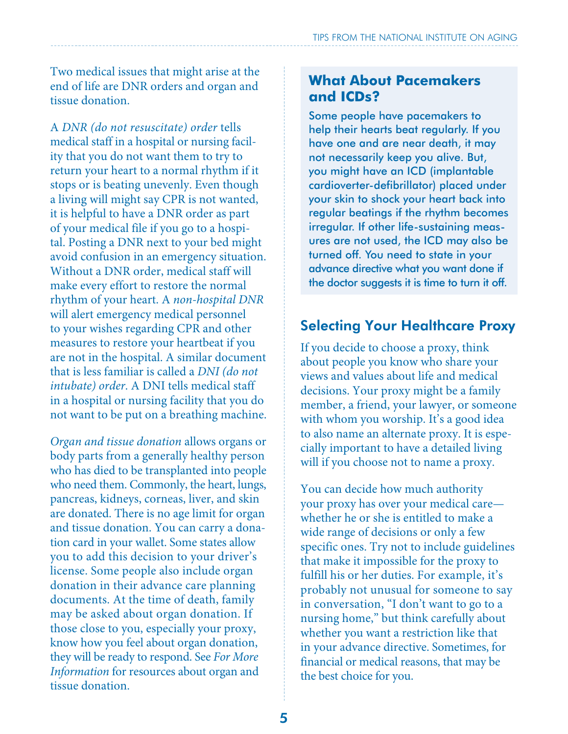Two medical issues that might arise at the end of life are DNR orders and organ and tissue donation.

A *DNR (do not resuscitate) order* tells medical staff in a hospital or nursing facility that you do not want them to try to return your heart to a normal rhythm if it stops or is beating unevenly. Even though a living will might say CPR is not wanted, it is helpful to have a DNR order as part of your medical file if you go to a hospital. Posting a DNR next to your bed might avoid confusion in an emergency situation. Without a DNR order, medical staff will make every effort to restore the normal rhythm of your heart. A *non-hospital DNR* will alert emergency medical personnel to your wishes regarding CPR and other measures to restore your heartbeat if you are not in the hospital. A similar document that is less familiar is called a *DNI (do not intubate) order*. A DNI tells medical staff in a hospital or nursing facility that you do not want to be put on a breathing machine.

*[Organ and tissue donation](http://www.nia.nih.gov/health/publication/organ-donation-and-transplantation-older-donors-and-recipients)* allows organs or body parts from a generally healthy person who has died to be transplanted into people who need them. Commonly, the heart, lungs, pancreas, kidneys, corneas, liver, and skin are donated. There is no age limit for organ and tissue donation. You can carry a donation card in your wallet. Some states allow you to add this decision to your driver's license. Some people also include organ donation in their advance care planning documents. At the time of death, family may be asked about organ donation. If those close to you, especially your proxy, know how you feel about organ donation, they will be ready to respond. See *For More Information* for resources about organ and tissue donation.

### **What About Pacemakers and ICDs?**

Some people have pacemakers to help their hearts beat regularly. If you have one and are near death, it may not necessarily keep you alive. But, you might have an ICD (implantable cardioverter-defibrillator) placed under your skin to shock your heart back into regular beatings if the rhythm becomes irregular. If other life-sustaining measures are not used, the ICD may also be turned off. You need to state in your advance directive what you want done if the doctor suggests it is time to turn it off.

## Selecting Your Healthcare Proxy

If you decide to choose a proxy, think about people you know who share your views and values about life and medical decisions. Your proxy might be a family member, a friend, your lawyer, or someone with whom you worship. It's a good idea to also name an alternate proxy. It is especially important to have a detailed living will if you choose not to name a proxy.

You can decide how much authority your proxy has over your medical care whether he or she is entitled to make a wide range of decisions or only a few specific ones. Try not to include guidelines that make it impossible for the proxy to fulfill his or her duties. For example, it's probably not unusual for someone to say in conversation, "I don't want to go to a nursing home," but think carefully about whether you want a restriction like that in your advance directive. Sometimes, for financial or medical reasons, that may be the best choice for you.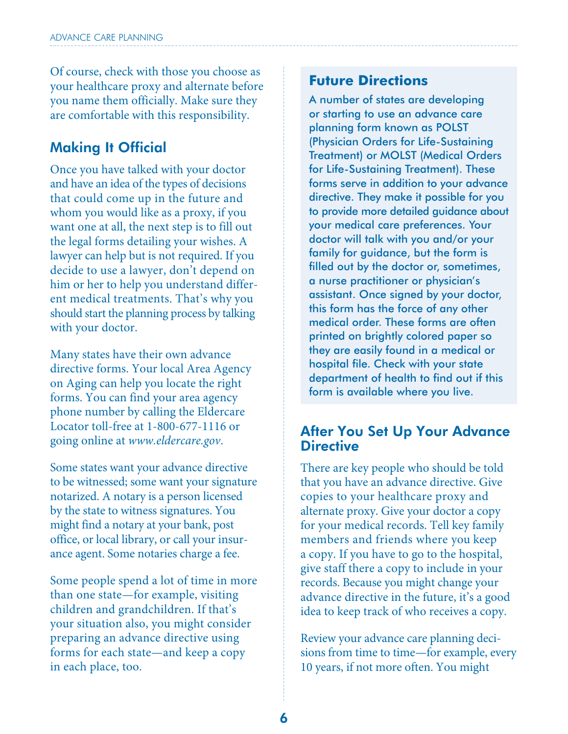Of course, check with those you choose as your healthcare proxy and alternate before you name them officially. Make sure they are comfortable with this responsibility.

# Making It Official

Once you have talked with your doctor and have an idea of the types of decisions that could come up in the future and whom you would like as a proxy, if you want one at all, the next step is to fill out the legal forms detailing your wishes. A lawyer can help but is not required. If you decide to use a lawyer, don't depend on him or her to help you understand different medical treatments. That's why you should start the planning process by talking with your doctor.

Many states have their own advance directive forms. Your local Area Agency on Aging can help you locate the right forms. You can find your area agency phone number by calling the Eldercare Locator toll-free at 1-800-677-1116 or going online at *www.eldercare.gov*.

Some states want your advance directive to be witnessed; some want your signature notarized. A notary is a person licensed by the state to witness signatures. You might find a notary at your bank, post office, or local library, or call your insurance agent. Some notaries charge a fee.

Some people spend a lot of time in more than one state—for example, visiting children and grandchildren. If that's your situation also, you might consider preparing an advance directive using forms for each state—and keep a copy in each place, too.

### **Future Directions**

A number of states are developing or starting to use an advance care planning form known as POLST (Physician Orders for Life-Sustaining Treatment) or MOLST (Medical Orders for Life-Sustaining Treatment). These forms serve in addition to your advance directive. They make it possible for you to provide more detailed guidance about your medical care preferences. Your doctor will talk with you and/or your family for guidance, but the form is filled out by the doctor or, sometimes, a nurse practitioner or physician's assistant. Once signed by your doctor, this form has the force of any other medical order. These forms are often printed on brightly colored paper so they are easily found in a medical or hospital file. Check with your state department of health to find out if this form is available where you live.

### After You Set Up Your Advance **Directive**

There are key people who should be told that you have an advance directive. Give copies to your healthcare proxy and alternate proxy. Give your doctor a copy for your medical records. Tell key family members and friends where you keep a copy. If you have to go to the hospital, give staff there a copy to include in your records. Because you might change your advance directive in the future, it's a good idea to keep track of who receives a copy.

Review your advance care planning decisions from time to time—for example, every 10 years, if not more often. You might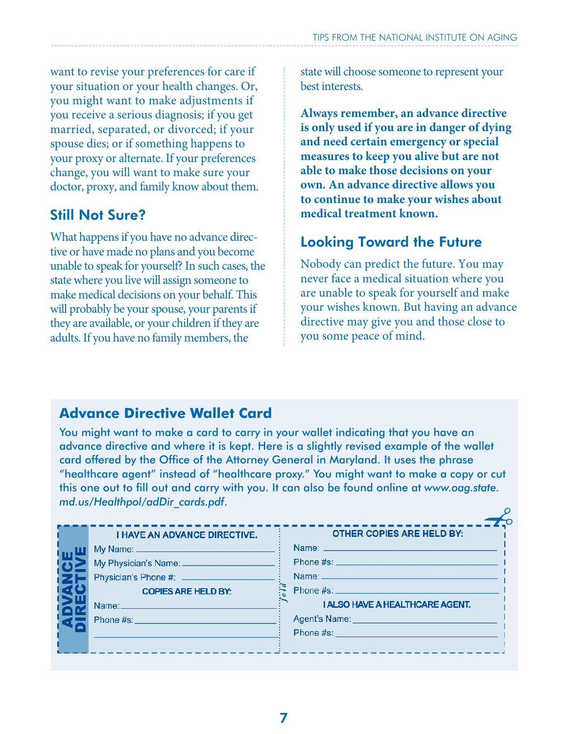want to revise your preferences for care if your situation or your health changes. Or, you might want to make adjustments if you receive a serious diagnosis; if you get married, separated, or divorced; if your spouse dies; or if something happens to your proxy or alternate. If your preferences change, you will want to make sure your doctor, proxy, and family know about them.

# Still Not Sure?

What happens if you have no advance directive or have made no plans and you become unable to speak for yourself? In such cases, the state where you live will assign someone to make medical decisions on your behalf. This will probably be your spouse, your parents if they are available, or your children if they are adults. If you have no family members, the

state will choose someone to represent your best interests.

**Always remember, an advance directive is only used if you are in danger of dying and need certain emergency or special measures to keep you alive but are not able to make those decisions on your own. An advance directive allows you to continue to make your wishes about medical treatment known.**

# Looking Toward the Future

Nobody can predict the future. You may never face a medical situation where you are unable to speak for yourself and make your wishes known. But having an advance directive may give you and those close to you some peace of mind.

# **Advance Directive Wallet Card**

You might want to make a card to carry in your wallet indicating that you have an advance directive and where it is kept. Here is a slightly revised example of the wallet card offered by the Office of the Attorney General in Maryland. It uses the phrase "healthcare agent" instead of "healthcare proxy." You might want to make a copy or cut this one out to fill out and carry with you. It can also be found online at *www.oag.state. md.us/Healthpol/adDir\_cards.pdf*. ✃

|           | <b>I HAVE AN ADVANCE DIRECTIVE.</b>                                                                                                                                                                                                  | <b>OTHER COPIES ARE HELD BY:</b>                                                                                                                                                                                                    |
|-----------|--------------------------------------------------------------------------------------------------------------------------------------------------------------------------------------------------------------------------------------|-------------------------------------------------------------------------------------------------------------------------------------------------------------------------------------------------------------------------------------|
| <b>BE</b> |                                                                                                                                                                                                                                      | Name: <b>Manner All Annual Activities</b>                                                                                                                                                                                           |
|           |                                                                                                                                                                                                                                      |                                                                                                                                                                                                                                     |
|           | Physician's Phone #: __________________                                                                                                                                                                                              |                                                                                                                                                                                                                                     |
|           | <b>COPIES ARE HELD BY:</b>                                                                                                                                                                                                           | $\frac{1}{2}$                                                                                                                                                                                                                       |
|           | Name: Name:                                                                                                                                                                                                                          | <b>I ALSO HAVE A HEALTHCARE AGENT.</b>                                                                                                                                                                                              |
|           | Phone #s: <b>All and All and All and All and All and All and All and All and All and All and All and All and All and All and All and All and All and All and All and All and All and All and All and All and All and All and All</b> | Agent's Name: <b>Agent</b> Agent Agent Agent Agent Agent Agent Agent Agent Agent Agent Agent Agent Agent Agent Agent Agent Agent Agent Agent Agent Agent Agent Agent Agent Agent Agent Agent Agent Agent Agent Agent Agent Agent Ag |
|           |                                                                                                                                                                                                                                      |                                                                                                                                                                                                                                     |
|           |                                                                                                                                                                                                                                      |                                                                                                                                                                                                                                     |